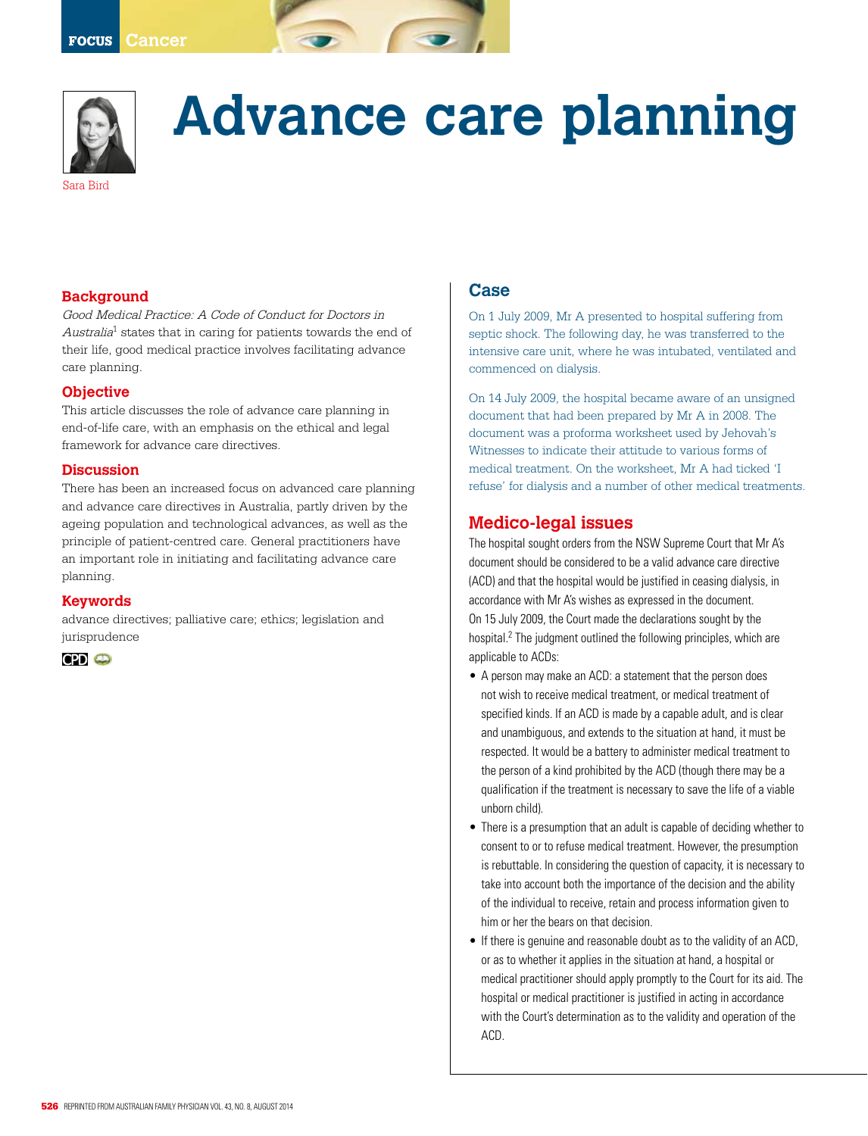

# **Advance care planning**

## **Background**

Good Medical Practice: A Code of Conduct for Doctors in Australia<sup>1</sup> states that in caring for patients towards the end of their life, good medical practice involves facilitating advance care planning.

#### **Objective**

This article discusses the role of advance care planning in end-of-life care, with an emphasis on the ethical and legal framework for advance care directives.

#### **Discussion**

There has been an increased focus on advanced care planning and advance care directives in Australia, partly driven by the ageing population and technological advances, as well as the principle of patient-centred care. General practitioners have an important role in initiating and facilitating advance care planning.

#### **Keywords**

advance directives; palliative care; ethics; legislation and jurisprudence



#### **Case**

On 1 July 2009, Mr A presented to hospital suffering from septic shock. The following day, he was transferred to the intensive care unit, where he was intubated, ventilated and commenced on dialysis.

On 14 July 2009, the hospital became aware of an unsigned document that had been prepared by Mr A in 2008. The document was a proforma worksheet used by Jehovah's Witnesses to indicate their attitude to various forms of medical treatment. On the worksheet, Mr A had ticked 'I refuse' for dialysis and a number of other medical treatments.

#### **Medico-legal issues**

The hospital sought orders from the NSW Supreme Court that Mr A's document should be considered to be a valid advance care directive (ACD) and that the hospital would be justified in ceasing dialysis, in accordance with Mr A's wishes as expressed in the document. On 15 July 2009, the Court made the declarations sought by the hospital.<sup>2</sup> The judgment outlined the following principles, which are applicable to ACDs:

- A person may make an ACD: a statement that the person does not wish to receive medical treatment, or medical treatment of specified kinds. If an ACD is made by a capable adult, and is clear and unambiguous, and extends to the situation at hand, it must be respected. It would be a battery to administer medical treatment to the person of a kind prohibited by the ACD (though there may be a qualification if the treatment is necessary to save the life of a viable unborn child).
- There is a presumption that an adult is capable of deciding whether to consent to or to refuse medical treatment. However, the presumption is rebuttable. In considering the question of capacity, it is necessary to take into account both the importance of the decision and the ability of the individual to receive, retain and process information given to him or her the bears on that decision.
- If there is genuine and reasonable doubt as to the validity of an ACD, or as to whether it applies in the situation at hand, a hospital or medical practitioner should apply promptly to the Court for its aid. The hospital or medical practitioner is justified in acting in accordance with the Court's determination as to the validity and operation of the ACD.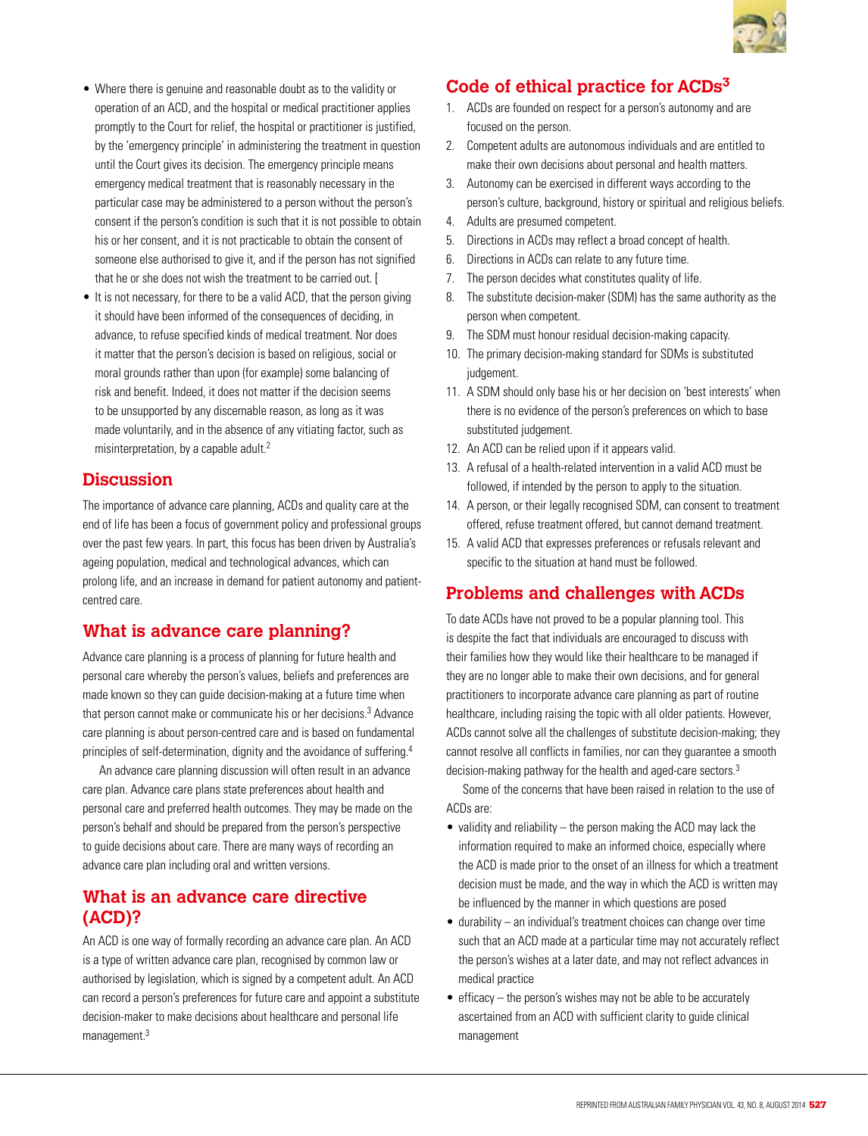

- Where there is genuine and reasonable doubt as to the validity or operation of an ACD, and the hospital or medical practitioner applies promptly to the Court for relief, the hospital or practitioner is justified, by the 'emergency principle' in administering the treatment in question until the Court gives its decision. The emergency principle means emergency medical treatment that is reasonably necessary in the particular case may be administered to a person without the person's consent if the person's condition is such that it is not possible to obtain his or her consent, and it is not practicable to obtain the consent of someone else authorised to give it, and if the person has not signified that he or she does not wish the treatment to be carried out. [
- It is not necessary, for there to be a valid ACD, that the person giving it should have been informed of the consequences of deciding, in advance, to refuse specified kinds of medical treatment. Nor does it matter that the person's decision is based on religious, social or moral grounds rather than upon (for example) some balancing of risk and benefit. Indeed, it does not matter if the decision seems to be unsupported by any discernable reason, as long as it was made voluntarily, and in the absence of any vitiating factor, such as misinterpretation, by a capable adult.2

#### **Discussion**

The importance of advance care planning, ACDs and quality care at the end of life has been a focus of government policy and professional groups over the past few years. In part, this focus has been driven by Australia's ageing population, medical and technological advances, which can prolong life, and an increase in demand for patient autonomy and patientcentred care.

## **What is advance care planning?**

Advance care planning is a process of planning for future health and personal care whereby the person's values, beliefs and preferences are made known so they can guide decision-making at a future time when that person cannot make or communicate his or her decisions.<sup>3</sup> Advance care planning is about person-centred care and is based on fundamental principles of self-determination, dignity and the avoidance of suffering.<sup>4</sup>

An advance care planning discussion will often result in an advance care plan. Advance care plans state preferences about health and personal care and preferred health outcomes. They may be made on the person's behalf and should be prepared from the person's perspective to guide decisions about care. There are many ways of recording an advance care plan including oral and written versions.

### **What is an advance care directive (ACD)?**

An ACD is one way of formally recording an advance care plan. An ACD is a type of written advance care plan, recognised by common law or authorised by legislation, which is signed by a competent adult. An ACD can record a person's preferences for future care and appoint a substitute decision-maker to make decisions about healthcare and personal life management.3

## **Code of ethical practice for ACDs3**

- 1. ACDs are founded on respect for a person's autonomy and are focused on the person.
- 2. Competent adults are autonomous individuals and are entitled to make their own decisions about personal and health matters.
- 3. Autonomy can be exercised in different ways according to the person's culture, background, history or spiritual and religious beliefs.
- 4. Adults are presumed competent.
- 5. Directions in ACDs may reflect a broad concept of health.
- 6. Directions in ACDs can relate to any future time.
- 7. The person decides what constitutes quality of life.
- 8. The substitute decision-maker (SDM) has the same authority as the person when competent.
- 9. The SDM must honour residual decision-making capacity.
- 10. The primary decision-making standard for SDMs is substituted judgement.
- 11. A SDM should only base his or her decision on 'best interests' when there is no evidence of the person's preferences on which to base substituted judgement.
- 12. An ACD can be relied upon if it appears valid.
- 13. A refusal of a health-related intervention in a valid ACD must be followed, if intended by the person to apply to the situation.
- 14. A person, or their legally recognised SDM, can consent to treatment offered, refuse treatment offered, but cannot demand treatment.
- 15. A valid ACD that expresses preferences or refusals relevant and specific to the situation at hand must be followed.

## **Problems and challenges with ACDs**

To date ACDs have not proved to be a popular planning tool. This is despite the fact that individuals are encouraged to discuss with their families how they would like their healthcare to be managed if they are no longer able to make their own decisions, and for general practitioners to incorporate advance care planning as part of routine healthcare, including raising the topic with all older patients. However, ACDs cannot solve all the challenges of substitute decision-making; they cannot resolve all conflicts in families, nor can they guarantee a smooth decision-making pathway for the health and aged-care sectors.<sup>3</sup>

Some of the concerns that have been raised in relation to the use of ACDs are:

- validity and reliability  $-$  the person making the ACD may lack the information required to make an informed choice, especially where the ACD is made prior to the onset of an illness for which a treatment decision must be made, and the way in which the ACD is written may be influenced by the manner in which questions are posed
- durability an individual's treatment choices can change over time such that an ACD made at a particular time may not accurately reflect the person's wishes at a later date, and may not reflect advances in medical practice
- efficacy the person's wishes may not be able to be accurately ascertained from an ACD with sufficient clarity to guide clinical management